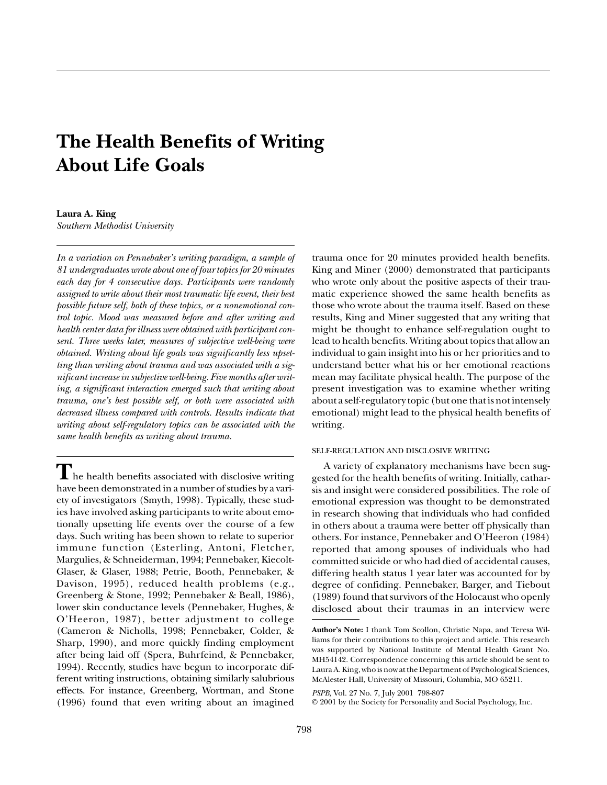# **The Health Benefits of Writing About Life Goals**

# **Laura A. King**

*Southern Methodist University*

*In a variation on Pennebaker's writing paradigm, a sample of 81 undergraduates wrote about one of four topics for 20 minutes each day for 4 consecutive days. Participants were randomly assigned to write about their most traumatic life event, their best possible future self, both of these topics, or a nonemotional control topic. Mood was measured before and after writing and health center data for illness were obtained with participant consent. Three weeks later, measures of subjective well-being were obtained. Writing about life goals was significantly less upsetting than writing about trauma and was associated with a significant increase in subjective well-being. Five months after writing, a significant interaction emerged such that writing about trauma, one's best possible self, or both were associated with decreased illness compared with controls. Results indicate that writing about self-regulatory topics can be associated with the same health benefits as writing about trauma.*

The health benefits associated with disclosive writing have been demonstrated in a number of studies by a variety of investigators (Smyth, 1998). Typically, these studies have involved asking participants to write about emotionally upsetting life events over the course of a few days. Such writing has been shown to relate to superior immune function (Esterling, Antoni, Fletcher, Margulies, & Schneiderman, 1994; Pennebaker, Kiecolt-Glaser, & Glaser, 1988; Petrie, Booth, Pennebaker, & Davison, 1995), reduced health problems (e.g., Greenberg & Stone, 1992; Pennebaker & Beall, 1986), lower skin conductance levels (Pennebaker, Hughes, & O'Heeron, 1987), better adjustment to college (Cameron & Nicholls, 1998; Pennebaker, Colder, & Sharp, 1990), and more quickly finding employment after being laid off (Spera, Buhrfeind, & Pennebaker, 1994). Recently, studies have begun to incorporate different writing instructions, obtaining similarly salubrious effects. For instance, Greenberg, Wortman, and Stone (1996) found that even writing about an imagined trauma once for 20 minutes provided health benefits. King and Miner (2000) demonstrated that participants who wrote only about the positive aspects of their traumatic experience showed the same health benefits as those who wrote about the trauma itself. Based on these results, King and Miner suggested that any writing that might be thought to enhance self-regulation ought to lead to health benefits. Writing about topics that allow an individual to gain insight into his or her priorities and to understand better what his or her emotional reactions mean may facilitate physical health. The purpose of the present investigation was to examine whether writing about a self-regulatory topic (but one that is not intensely emotional) might lead to the physical health benefits of writing.

## SELF-REGULATION AND DISCLOSIVE WRITING

A variety of explanatory mechanisms have been suggested for the health benefits of writing. Initially, catharsis and insight were considered possibilities. The role of emotional expression was thought to be demonstrated in research showing that individuals who had confided in others about a trauma were better off physically than others. For instance, Pennebaker and O'Heeron (1984) reported that among spouses of individuals who had committed suicide or who had died of accidental causes, differing health status 1 year later was accounted for by degree of confiding. Pennebaker, Barger, and Tiebout (1989) found that survivors of the Holocaust who openly disclosed about their traumas in an interview were

**Author's Note:** I thank Tom Scollon, Christie Napa, and Teresa Williams for their contributions to this project and article. This research was supported by National Institute of Mental Health Grant No. MH54142. Correspondence concerning this article should be sent to Laura A. King, who is now at the Department of Psychological Sciences, McAlester Hall, University of Missouri, Columbia, MO 65211.

*PSPB,* Vol. 27 No. 7, July 2001 798-807

<sup>© 2001</sup> by the Society for Personality and Social Psychology, Inc.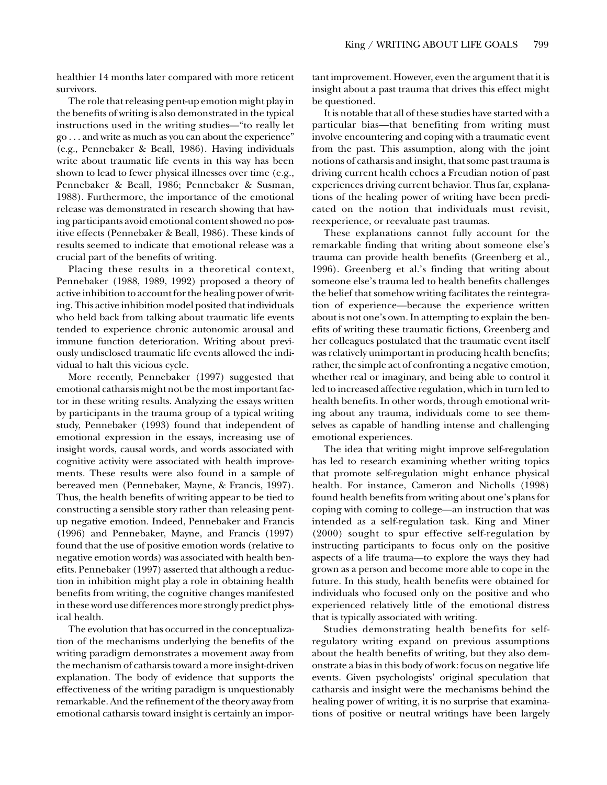healthier 14 months later compared with more reticent survivors.

The role that releasing pent-up emotion might play in the benefits of writing is also demonstrated in the typical instructions used in the writing studies—"to really let go . . . and write as much as you can about the experience" (e.g., Pennebaker & Beall, 1986). Having individuals write about traumatic life events in this way has been shown to lead to fewer physical illnesses over time (e.g., Pennebaker & Beall, 1986; Pennebaker & Susman, 1988). Furthermore, the importance of the emotional release was demonstrated in research showing that having participants avoid emotional content showed no positive effects (Pennebaker & Beall, 1986). These kinds of results seemed to indicate that emotional release was a crucial part of the benefits of writing.

Placing these results in a theoretical context, Pennebaker (1988, 1989, 1992) proposed a theory of active inhibition to account for the healing power of writing. This active inhibition model posited that individuals who held back from talking about traumatic life events tended to experience chronic autonomic arousal and immune function deterioration. Writing about previously undisclosed traumatic life events allowed the individual to halt this vicious cycle.

More recently, Pennebaker (1997) suggested that emotional catharsis might not be the most important factor in these writing results. Analyzing the essays written by participants in the trauma group of a typical writing study, Pennebaker (1993) found that independent of emotional expression in the essays, increasing use of insight words, causal words, and words associated with cognitive activity were associated with health improvements. These results were also found in a sample of bereaved men (Pennebaker, Mayne, & Francis, 1997). Thus, the health benefits of writing appear to be tied to constructing a sensible story rather than releasing pentup negative emotion. Indeed, Pennebaker and Francis (1996) and Pennebaker, Mayne, and Francis (1997) found that the use of positive emotion words (relative to negative emotion words) was associated with health benefits. Pennebaker (1997) asserted that although a reduction in inhibition might play a role in obtaining health benefits from writing, the cognitive changes manifested in these word use differences more strongly predict physical health.

The evolution that has occurred in the conceptualization of the mechanisms underlying the benefits of the writing paradigm demonstrates a movement away from the mechanism of catharsis toward a more insight-driven explanation. The body of evidence that supports the effectiveness of the writing paradigm is unquestionably remarkable. And the refinement of the theory away from emotional catharsis toward insight is certainly an important improvement. However, even the argument that it is insight about a past trauma that drives this effect might be questioned.

It is notable that all of these studies have started with a particular bias—that benefiting from writing must involve encountering and coping with a traumatic event from the past. This assumption, along with the joint notions of catharsis and insight, that some past trauma is driving current health echoes a Freudian notion of past experiences driving current behavior. Thus far, explanations of the healing power of writing have been predicated on the notion that individuals must revisit, reexperience, or reevaluate past traumas.

These explanations cannot fully account for the remarkable finding that writing about someone else's trauma can provide health benefits (Greenberg et al., 1996). Greenberg et al.'s finding that writing about someone else's trauma led to health benefits challenges the belief that somehow writing facilitates the reintegration of experience—because the experience written about is not one's own. In attempting to explain the benefits of writing these traumatic fictions, Greenberg and her colleagues postulated that the traumatic event itself was relatively unimportant in producing health benefits; rather, the simple act of confronting a negative emotion, whether real or imaginary, and being able to control it led to increased affective regulation, which in turn led to health benefits. In other words, through emotional writing about any trauma, individuals come to see themselves as capable of handling intense and challenging emotional experiences.

The idea that writing might improve self-regulation has led to research examining whether writing topics that promote self-regulation might enhance physical health. For instance, Cameron and Nicholls (1998) found health benefits from writing about one's plans for coping with coming to college—an instruction that was intended as a self-regulation task. King and Miner (2000) sought to spur effective self-regulation by instructing participants to focus only on the positive aspects of a life trauma—to explore the ways they had grown as a person and become more able to cope in the future. In this study, health benefits were obtained for individuals who focused only on the positive and who experienced relatively little of the emotional distress that is typically associated with writing.

Studies demonstrating health benefits for selfregulatory writing expand on previous assumptions about the health benefits of writing, but they also demonstrate a bias in this body of work: focus on negative life events. Given psychologists' original speculation that catharsis and insight were the mechanisms behind the healing power of writing, it is no surprise that examinations of positive or neutral writings have been largely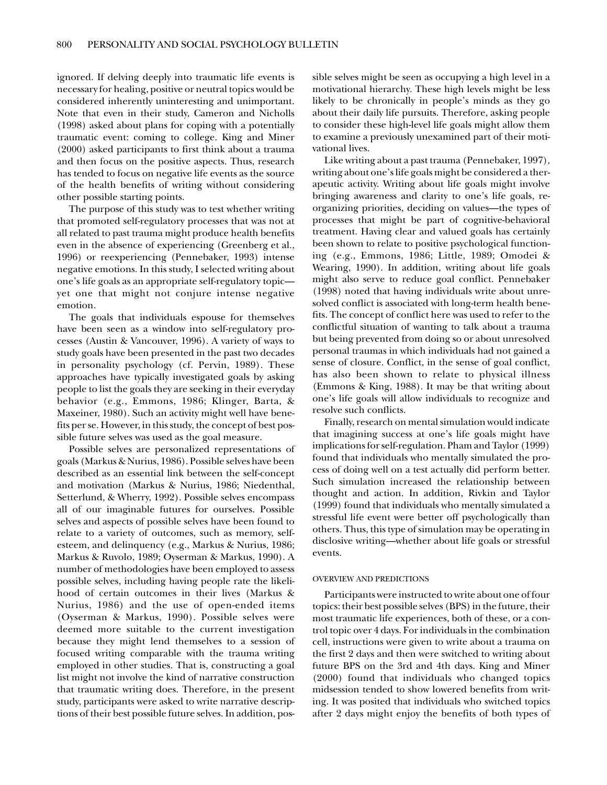ignored. If delving deeply into traumatic life events is necessary for healing, positive or neutral topics would be considered inherently uninteresting and unimportant. Note that even in their study, Cameron and Nicholls (1998) asked about plans for coping with a potentially traumatic event: coming to college. King and Miner (2000) asked participants to first think about a trauma and then focus on the positive aspects. Thus, research has tended to focus on negative life events as the source of the health benefits of writing without considering other possible starting points.

The purpose of this study was to test whether writing that promoted self-regulatory processes that was not at all related to past trauma might produce health benefits even in the absence of experiencing (Greenberg et al., 1996) or reexperiencing (Pennebaker, 1993) intense negative emotions. In this study, I selected writing about one's life goals as an appropriate self-regulatory topic yet one that might not conjure intense negative emotion.

The goals that individuals espouse for themselves have been seen as a window into self-regulatory processes (Austin & Vancouver, 1996). A variety of ways to study goals have been presented in the past two decades in personality psychology (cf. Pervin, 1989). These approaches have typically investigated goals by asking people to list the goals they are seeking in their everyday behavior (e.g., Emmons, 1986; Klinger, Barta, & Maxeiner, 1980). Such an activity might well have benefits per se. However, in this study, the concept of best possible future selves was used as the goal measure.

Possible selves are personalized representations of goals (Markus & Nurius, 1986). Possible selves have been described as an essential link between the self-concept and motivation (Markus & Nurius, 1986; Niedenthal, Setterlund, & Wherry, 1992). Possible selves encompass all of our imaginable futures for ourselves. Possible selves and aspects of possible selves have been found to relate to a variety of outcomes, such as memory, selfesteem, and delinquency (e.g., Markus & Nurius, 1986; Markus & Ruvolo, 1989; Oyserman & Markus, 1990). A number of methodologies have been employed to assess possible selves, including having people rate the likelihood of certain outcomes in their lives (Markus & Nurius, 1986) and the use of open-ended items (Oyserman & Markus, 1990). Possible selves were deemed more suitable to the current investigation because they might lend themselves to a session of focused writing comparable with the trauma writing employed in other studies. That is, constructing a goal list might not involve the kind of narrative construction that traumatic writing does. Therefore, in the present study, participants were asked to write narrative descriptions of their best possible future selves. In addition, possible selves might be seen as occupying a high level in a motivational hierarchy. These high levels might be less likely to be chronically in people's minds as they go about their daily life pursuits. Therefore, asking people to consider these high-level life goals might allow them to examine a previously unexamined part of their motivational lives.

Like writing about a past trauma (Pennebaker, 1997), writing about one's life goals might be considered a therapeutic activity. Writing about life goals might involve bringing awareness and clarity to one's life goals, reorganizing priorities, deciding on values—the types of processes that might be part of cognitive-behavioral treatment. Having clear and valued goals has certainly been shown to relate to positive psychological functioning (e.g., Emmons, 1986; Little, 1989; Omodei & Wearing, 1990). In addition, writing about life goals might also serve to reduce goal conflict. Pennebaker (1998) noted that having individuals write about unresolved conflict is associated with long-term health benefits. The concept of conflict here was used to refer to the conflictful situation of wanting to talk about a trauma but being prevented from doing so or about unresolved personal traumas in which individuals had not gained a sense of closure. Conflict, in the sense of goal conflict, has also been shown to relate to physical illness (Emmons & King, 1988). It may be that writing about one's life goals will allow individuals to recognize and resolve such conflicts.

Finally, research on mental simulation would indicate that imagining success at one's life goals might have implications for self-regulation. Pham and Taylor (1999) found that individuals who mentally simulated the process of doing well on a test actually did perform better. Such simulation increased the relationship between thought and action. In addition, Rivkin and Taylor (1999) found that individuals who mentally simulated a stressful life event were better off psychologically than others. Thus, this type of simulation may be operating in disclosive writing—whether about life goals or stressful events.

# OVERVIEW AND PREDICTIONS

Participants were instructed to write about one of four topics: their best possible selves (BPS) in the future, their most traumatic life experiences, both of these, or a control topic over 4 days. For individuals in the combination cell, instructions were given to write about a trauma on the first 2 days and then were switched to writing about future BPS on the 3rd and 4th days. King and Miner (2000) found that individuals who changed topics midsession tended to show lowered benefits from writing. It was posited that individuals who switched topics after 2 days might enjoy the benefits of both types of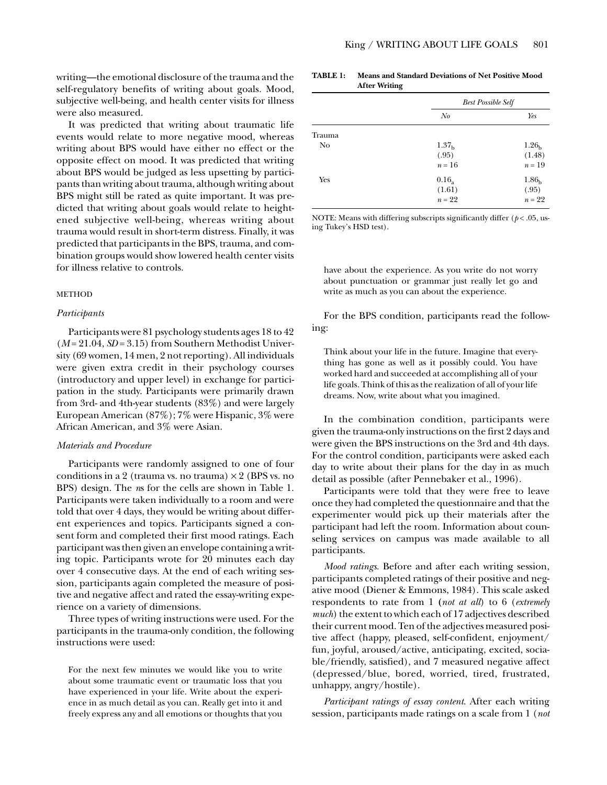writing—the emotional disclosure of the trauma and the self-regulatory benefits of writing about goals. Mood, subjective well-being, and health center visits for illness were also measured.

It was predicted that writing about traumatic life events would relate to more negative mood, whereas writing about BPS would have either no effect or the opposite effect on mood. It was predicted that writing about BPS would be judged as less upsetting by participants than writing about trauma, although writing about BPS might still be rated as quite important. It was predicted that writing about goals would relate to heightened subjective well-being, whereas writing about trauma would result in short-term distress. Finally, it was predicted that participants in the BPS, trauma, and combination groups would show lowered health center visits for illness relative to controls.

## **METHOD**

## *Participants*

Participants were 81 psychology students ages 18 to 42  $(M=21.04, SD=3.15)$  from Southern Methodist University (69 women, 14 men, 2 not reporting). All individuals were given extra credit in their psychology courses (introductory and upper level) in exchange for participation in the study. Participants were primarily drawn from 3rd- and 4th-year students (83%) and were largely European American (87%); 7% were Hispanic, 3% were African American, and 3% were Asian.

# *Materials and Procedure*

Participants were randomly assigned to one of four conditions in a 2 (trauma vs. no trauma)  $\times$  2 (BPS vs. no BPS) design. The *n*s for the cells are shown in Table 1. Participants were taken individually to a room and were told that over 4 days, they would be writing about different experiences and topics. Participants signed a consent form and completed their first mood ratings. Each participant was then given an envelope containing a writing topic. Participants wrote for 20 minutes each day over 4 consecutive days. At the end of each writing session, participants again completed the measure of positive and negative affect and rated the essay-writing experience on a variety of dimensions.

Three types of writing instructions were used. For the participants in the trauma-only condition, the following instructions were used:

For the next few minutes we would like you to write about some traumatic event or traumatic loss that you have experienced in your life. Write about the experience in as much detail as you can. Really get into it and freely express any and all emotions or thoughts that you

**TABLE 1: Means and Standard Deviations of Net Positive Mood After Writing**

|                | <b>Best Possible Self</b> |                   |
|----------------|---------------------------|-------------------|
|                | $N_{0}$                   | Yes               |
| Trauma         |                           |                   |
| N <sub>o</sub> | 1.37 <sub>b</sub>         | 1.26 <sub>h</sub> |
|                | (.95)                     | (1.48)            |
|                | $n=16$                    | $n=19$            |
| Yes            | $0.16$ <sub>2</sub>       | 1.86 <sub>b</sub> |
|                | (1.61)                    | (.95)             |
|                | $n = 22$                  | $n = 22$          |

NOTE: Means with differing subscripts significantly differ (*p* < .05, using Tukey's HSD test).

have about the experience. As you write do not worry about punctuation or grammar just really let go and write as much as you can about the experience.

For the BPS condition, participants read the following:

Think about your life in the future. Imagine that everything has gone as well as it possibly could. You have worked hard and succeeded at accomplishing all of your life goals. Think of this as the realization of all of your life dreams. Now, write about what you imagined.

In the combination condition, participants were given the trauma-only instructions on the first 2 days and were given the BPS instructions on the 3rd and 4th days. For the control condition, participants were asked each day to write about their plans for the day in as much detail as possible (after Pennebaker et al., 1996).

Participants were told that they were free to leave once they had completed the questionnaire and that the experimenter would pick up their materials after the participant had left the room. Information about counseling services on campus was made available to all participants.

*Mood ratings*. Before and after each writing session, participants completed ratings of their positive and negative mood (Diener & Emmons, 1984). This scale asked respondents to rate from 1 **(***not at all*) to 6 (*extremely much*) the extent to which each of 17 adjectives described their current mood. Ten of the adjectives measured positive affect (happy, pleased, self-confident, enjoyment/ fun, joyful, aroused/active, anticipating, excited, sociable/friendly, satisfied), and 7 measured negative affect (depressed/blue, bored, worried, tired, frustrated, unhappy, angry/hostile).

*Participant ratings of essay content*. After each writing session, participants made ratings on a scale from 1 (*not*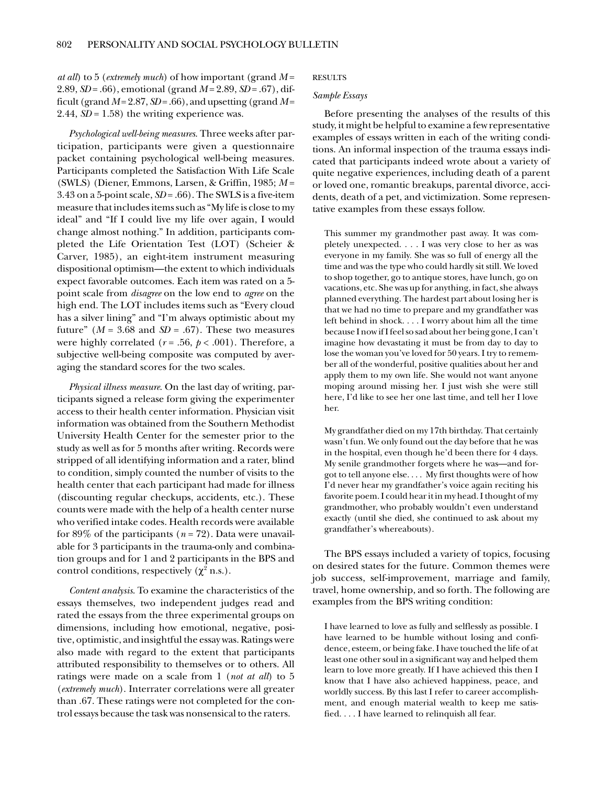*at all*) to 5 (*extremely much*) of how important (grand *M* = 2.89, *SD* = .66), emotional (grand *M* = 2.89, *SD* = .67), difficult (grand  $M = 2.87$ ,  $SD = .66$ ), and upsetting (grand  $M =$ 2.44,  $SD = 1.58$ ) the writing experience was.

*Psychological well-being measures*. Three weeks after participation, participants were given a questionnaire packet containing psychological well-being measures. Participants completed the Satisfaction With Life Scale (SWLS) (Diener, Emmons, Larsen, & Griffin, 1985; *M* = 3.43 on a 5-point scale, *SD* = .66). The SWLS is a five-item measure that includes items such as "My life is close to my ideal" and "If I could live my life over again, I would change almost nothing." In addition, participants completed the Life Orientation Test (LOT) (Scheier & Carver, 1985), an eight-item instrument measuring dispositional optimism—the extent to which individuals expect favorable outcomes. Each item was rated on a 5 point scale from *disagree* on the low end to *agree* on the high end. The LOT includes items such as "Every cloud has a silver lining" and "I'm always optimistic about my future" ( $M = 3.68$  and  $SD = .67$ ). These two measures were highly correlated ( $r = .56$ ,  $p < .001$ ). Therefore, a subjective well-being composite was computed by averaging the standard scores for the two scales.

*Physical illness measure*. On the last day of writing, participants signed a release form giving the experimenter access to their health center information. Physician visit information was obtained from the Southern Methodist University Health Center for the semester prior to the study as well as for 5 months after writing. Records were stripped of all identifying information and a rater, blind to condition, simply counted the number of visits to the health center that each participant had made for illness (discounting regular checkups, accidents, etc.). These counts were made with the help of a health center nurse who verified intake codes. Health records were available for 89% of the participants  $(n = 72)$ . Data were unavailable for 3 participants in the trauma-only and combination groups and for 1 and 2 participants in the BPS and control conditions, respectively  $(\chi^2 \text{ n.s.})$ .

*Content analysis*. To examine the characteristics of the essays themselves, two independent judges read and rated the essays from the three experimental groups on dimensions, including how emotional, negative, positive, optimistic, and insightful the essay was. Ratings were also made with regard to the extent that participants attributed responsibility to themselves or to others. All ratings were made on a scale from 1 (*not at all*) to 5 (*extremely much*). Interrater correlations were all greater than .67. These ratings were not completed for the control essays because the task was nonsensical to the raters.

# RESULTS

# *Sample Essays*

Before presenting the analyses of the results of this study, it might be helpful to examine a few representative examples of essays written in each of the writing conditions. An informal inspection of the trauma essays indicated that participants indeed wrote about a variety of quite negative experiences, including death of a parent or loved one, romantic breakups, parental divorce, accidents, death of a pet, and victimization. Some representative examples from these essays follow.

This summer my grandmother past away. It was completely unexpected. . . . I was very close to her as was everyone in my family. She was so full of energy all the time and was the type who could hardly sit still. We loved to shop together, go to antique stores, have lunch, go on vacations, etc. She was up for anything, in fact, she always planned everything. The hardest part about losing her is that we had no time to prepare and my grandfather was left behind in shock. ...I worry about him all the time because I now if I feel so sad about her being gone, I can't imagine how devastating it must be from day to day to lose the woman you've loved for 50 years. I try to remember all of the wonderful, positive qualities about her and apply them to my own life. She would not want anyone moping around missing her. I just wish she were still here, I'd like to see her one last time, and tell her I love her.

My grandfather died on my 17th birthday. That certainly wasn't fun. We only found out the day before that he was in the hospital, even though he'd been there for 4 days. My senile grandmother forgets where he was—and forgot to tell anyone else. . . . My first thoughts were of how I'd never hear my grandfather's voice again reciting his favorite poem. I could hear it in my head. I thought of my grandmother, who probably wouldn't even understand exactly (until she died, she continued to ask about my grandfather's whereabouts).

The BPS essays included a variety of topics, focusing on desired states for the future. Common themes were job success, self-improvement, marriage and family, travel, home ownership, and so forth. The following are examples from the BPS writing condition:

I have learned to love as fully and selflessly as possible. I have learned to be humble without losing and confidence, esteem, or being fake. I have touched the life of at least one other soul in a significant way and helped them learn to love more greatly. If I have achieved this then I know that I have also achieved happiness, peace, and worldly success. By this last I refer to career accomplishment, and enough material wealth to keep me satisfied. . . . I have learned to relinquish all fear.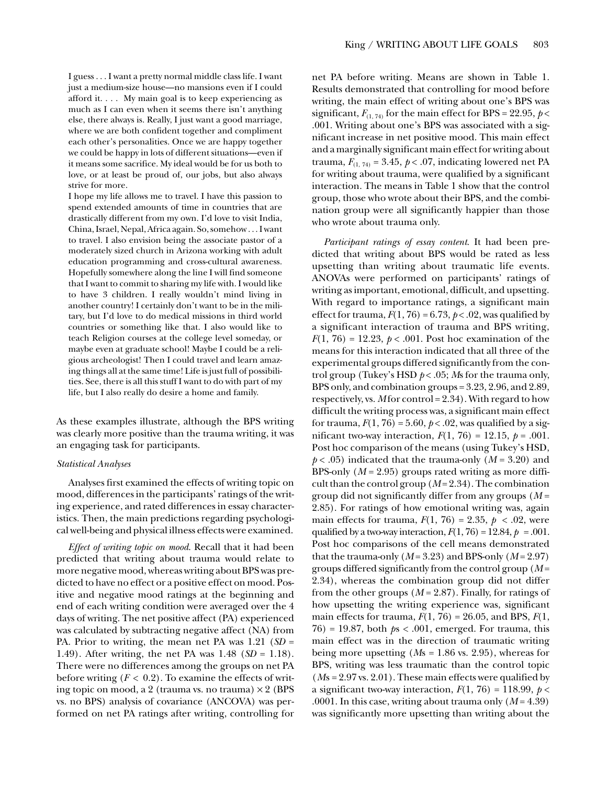I guess ...I want a pretty normal middle class life. I want just a medium-size house—no mansions even if I could afford it. . . . My main goal is to keep experiencing as much as I can even when it seems there isn't anything else, there always is. Really, I just want a good marriage, where we are both confident together and compliment each other's personalities. Once we are happy together we could be happy in lots of different situations—even if it means some sacrifice. My ideal would be for us both to love, or at least be proud of, our jobs, but also always strive for more.

I hope my life allows me to travel. I have this passion to spend extended amounts of time in countries that are drastically different from my own. I'd love to visit India, China, Israel, Nepal, Africa again. So, somehow...Iwant to travel. I also envision being the associate pastor of a moderately sized church in Arizona working with adult education programming and cross-cultural awareness. Hopefully somewhere along the line I will find someone that I want to commit to sharing my life with. I would like to have 3 children. I really wouldn't mind living in another country! I certainly don't want to be in the military, but I'd love to do medical missions in third world countries or something like that. I also would like to teach Religion courses at the college level someday, or maybe even at graduate school! Maybe I could be a religious archeologist! Then I could travel and learn amazing things all at the same time! Life is just full of possibilities. See, there is all this stuff I want to do with part of my life, but I also really do desire a home and family.

As these examples illustrate, although the BPS writing was clearly more positive than the trauma writing, it was an engaging task for participants.

# *Statistical Analyses*

Analyses first examined the effects of writing topic on mood, differences in the participants' ratings of the writing experience, and rated differences in essay characteristics. Then, the main predictions regarding psychological well-being and physical illness effects were examined.

*Effect of writing topic on mood*. Recall that it had been predicted that writing about trauma would relate to more negative mood, whereas writing about BPS was predicted to have no effect or a positive effect on mood. Positive and negative mood ratings at the beginning and end of each writing condition were averaged over the 4 days of writing. The net positive affect (PA) experienced was calculated by subtracting negative affect (NA) from PA. Prior to writing, the mean net PA was 1.21 (*SD* = 1.49). After writing, the net PA was 1.48 (*SD* = 1.18). There were no differences among the groups on net PA before writing  $(F < 0.2)$ . To examine the effects of writing topic on mood, a 2 (trauma vs. no trauma)  $\times$  2 (BPS vs. no BPS) analysis of covariance (ANCOVA) was performed on net PA ratings after writing, controlling for net PA before writing. Means are shown in Table 1. Results demonstrated that controlling for mood before writing, the main effect of writing about one's BPS was significant,  $F_{(1, 74)}$  for the main effect for BPS = 22.95,  $p$  < .001. Writing about one's BPS was associated with a significant increase in net positive mood. This main effect and a marginally significant main effect for writing about trauma,  $F_{(1, 74)} = 3.45$ ,  $p < .07$ , indicating lowered net PA for writing about trauma, were qualified by a significant interaction. The means in Table 1 show that the control group, those who wrote about their BPS, and the combination group were all significantly happier than those who wrote about trauma only.

*Participant ratings of essay content*. It had been predicted that writing about BPS would be rated as less upsetting than writing about traumatic life events. ANOVAs were performed on participants' ratings of writing as important, emotional, difficult, and upsetting. With regard to importance ratings, a significant main effect for trauma,  $F(1, 76) = 6.73$ ,  $p < .02$ , was qualified by a significant interaction of trauma and BPS writing, *F*(1, 76) = 12.23,  $p < .001$ . Post hoc examination of the means for this interaction indicated that all three of the experimental groups differed significantly from the control group (Tukey's HSD *p* < .05; *M*s for the trauma only, BPS only, and combination groups = 3.23, 2.96, and 2.89, respectively, vs. *M* for control = 2.34). With regard to how difficult the writing process was, a significant main effect for trauma,  $F(1, 76) = 5.60$ ,  $p < .02$ , was qualified by a significant two-way interaction,  $F(1, 76) = 12.15$ ,  $p = .001$ . Post hoc comparison of the means (using Tukey's HSD,  $p < .05$ ) indicated that the trauma-only ( $M = 3.20$ ) and BPS-only (*M* = 2.95) groups rated writing as more difficult than the control group (*M* = 2.34). The combination group did not significantly differ from any groups (*M* = 2.85). For ratings of how emotional writing was, again main effects for trauma,  $F(1, 76) = 2.35$ ,  $p < .02$ , were qualified by a two-way interaction,  $F(1, 76) = 12.84$ ,  $p = .001$ . Post hoc comparisons of the cell means demonstrated that the trauma-only  $(M=3.23)$  and BPS-only  $(M=2.97)$ groups differed significantly from the control group (*M* = 2.34), whereas the combination group did not differ from the other groups  $(M = 2.87)$ . Finally, for ratings of how upsetting the writing experience was, significant main effects for trauma,  $F(1, 76) = 26.05$ , and BPS,  $F(1, 76) = 26.05$ 76) = 19.87, both *p*s < .001, emerged. For trauma, this main effect was in the direction of traumatic writing being more upsetting (*M*s = 1.86 vs. 2.95), whereas for BPS, writing was less traumatic than the control topic (*M*s = 2.97 vs. 2.01). These main effects were qualified by a significant two-way interaction,  $F(1, 76) = 118.99$ ,  $p <$ .0001. In this case, writing about trauma only  $(M = 4.39)$ was significantly more upsetting than writing about the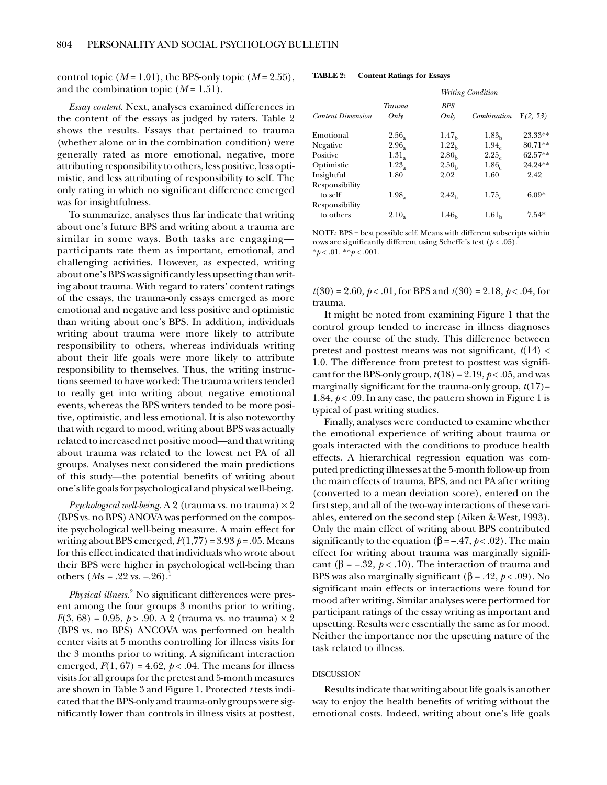control topic  $(M=1.01)$ , the BPS-only topic  $(M=2.55)$ , and the combination topic  $(M = 1.51)$ .

*Essay content*. Next, analyses examined differences in the content of the essays as judged by raters. Table 2 shows the results. Essays that pertained to trauma (whether alone or in the combination condition) were generally rated as more emotional, negative, more attributing responsibility to others, less positive, less optimistic, and less attributing of responsibility to self. The only rating in which no significant difference emerged was for insightfulness.

To summarize, analyses thus far indicate that writing about one's future BPS and writing about a trauma are similar in some ways. Both tasks are engaging participants rate them as important, emotional, and challenging activities. However, as expected, writing about one's BPS was significantly less upsetting than writing about trauma. With regard to raters' content ratings of the essays, the trauma-only essays emerged as more emotional and negative and less positive and optimistic than writing about one's BPS. In addition, individuals writing about trauma were more likely to attribute responsibility to others, whereas individuals writing about their life goals were more likely to attribute responsibility to themselves. Thus, the writing instructions seemed to have worked: The trauma writers tended to really get into writing about negative emotional events, whereas the BPS writers tended to be more positive, optimistic, and less emotional. It is also noteworthy that with regard to mood, writing about BPS was actually related to increased net positive mood—and that writing about trauma was related to the lowest net PA of all groups. Analyses next considered the main predictions of this study—the potential benefits of writing about one's life goals for psychological and physical well-being.

*Psychological well-being*. A 2 (trauma vs. no trauma) × 2 (BPS vs. no BPS) ANOVA was performed on the composite psychological well-being measure. A main effect for writing about BPS emerged,  $F(1,77) = 3.93 p = .05$ . Means for this effect indicated that individuals who wrote about their BPS were higher in psychological well-being than others  $(Ms = .22 \text{ vs. } -.26).$ <sup>1</sup>

*Physical illness.*<sup>2</sup> No significant differences were present among the four groups 3 months prior to writing, *F*(3, 68) = 0.95,  $p > .90$ . A 2 (trauma vs. no trauma)  $\times$  2 (BPS vs. no BPS) ANCOVA was performed on health center visits at 5 months controlling for illness visits for the 3 months prior to writing. A significant interaction emerged,  $F(1, 67) = 4.62$ ,  $p < .04$ . The means for illness visits for all groups for the pretest and 5-month measures are shown in Table 3 and Figure 1. Protected *t* tests indicated that the BPS-only and trauma-only groups were significantly lower than controls in illness visits at posttest,

**TABLE 2: Content Ratings for Essays**

|                          | <b>Writing Condition</b> |                   |                   |          |  |
|--------------------------|--------------------------|-------------------|-------------------|----------|--|
| <b>Content Dimension</b> | Trauma<br>Onlv           | BPS<br>Only       | Combination       | F(2, 53) |  |
| Emotional                | $2.56$ <sub>2</sub>      | 1.47 <sub>b</sub> | 1.83 <sub>b</sub> | 23.33**  |  |
| Negative                 | 2.96 <sub>2</sub>        | 1.22 <sub>b</sub> | $1.94_c$          | 80.71**  |  |
| Positive                 | 1.31 <sub>a</sub>        | 2.80 <sub>b</sub> | $2.25_c$          | 62.57**  |  |
| Optimistic               | 1.23 <sub>2</sub>        | 2.50 <sub>b</sub> | 1.86 <sub>c</sub> | 24.24**  |  |
| Insightful               | 1.80                     | 2.02              | 1.60              | 2.42     |  |
| Responsibility           |                          |                   |                   |          |  |
| to self                  | 1.98.                    | 2.42 <sub>b</sub> | 1.75,             | $6.09*$  |  |
| Responsibility           |                          |                   |                   |          |  |
| to others                | $2.10_a$                 | 1.46 <sub>b</sub> | 1.61 <sub>b</sub> | $7.54*$  |  |

NOTE: BPS = best possible self. Means with different subscripts within rows are significantly different using Scheffe's test (*p* < .05). \**p* < .01. \*\**p* < .001.

 $t(30) = 2.60, p < .01$ , for BPS and  $t(30) = 2.18, p < .04$ , for trauma.

It might be noted from examining Figure 1 that the control group tended to increase in illness diagnoses over the course of the study. This difference between pretest and posttest means was not significant,  $t(14)$  < 1.0. The difference from pretest to posttest was significant for the BPS-only group,  $t(18) = 2.19$ ,  $p < .05$ , and was marginally significant for the trauma-only group,  $t(17)$ = 1.84,  $p < .09$ . In any case, the pattern shown in Figure 1 is typical of past writing studies.

Finally, analyses were conducted to examine whether the emotional experience of writing about trauma or goals interacted with the conditions to produce health effects. A hierarchical regression equation was computed predicting illnesses at the 5-month follow-up from the main effects of trauma, BPS, and net PA after writing (converted to a mean deviation score), entered on the first step, and all of the two-way interactions of these variables, entered on the second step (Aiken & West, 1993). Only the main effect of writing about BPS contributed significantly to the equation ( $\beta = -0.47$ ,  $\beta < 0.02$ ). The main effect for writing about trauma was marginally significant ( $\beta$  = –.32,  $p < 0.10$ ). The interaction of trauma and BPS was also marginally significant (β = .42,  $p < .09$ ). No significant main effects or interactions were found for mood after writing. Similar analyses were performed for participant ratings of the essay writing as important and upsetting. Results were essentially the same as for mood. Neither the importance nor the upsetting nature of the task related to illness.

## DISCUSSION

Results indicate that writing about life goals is another way to enjoy the health benefits of writing without the emotional costs. Indeed, writing about one's life goals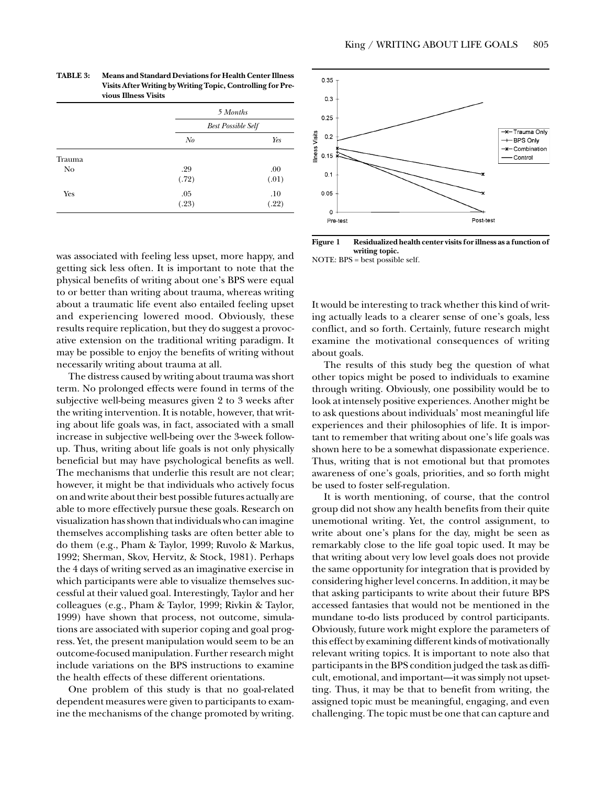|        |                | 5 Months                  |  |  |
|--------|----------------|---------------------------|--|--|
|        |                | <b>Best Possible Self</b> |  |  |
|        | N <sub>o</sub> | Yes                       |  |  |
| Trauma |                |                           |  |  |
| No     | .29            | .00.                      |  |  |
|        | (.72)          | (.01)                     |  |  |
| Yes    | .05            | .10                       |  |  |
|        | (.23)          | (.22)                     |  |  |

**TABLE 3: Means and Standard Deviations for Health Center Illness Visits After Writing by Writing Topic, Controlling for Previous Illness Visits**

was associated with feeling less upset, more happy, and getting sick less often. It is important to note that the physical benefits of writing about one's BPS were equal to or better than writing about trauma, whereas writing about a traumatic life event also entailed feeling upset and experiencing lowered mood. Obviously, these results require replication, but they do suggest a provocative extension on the traditional writing paradigm. It may be possible to enjoy the benefits of writing without necessarily writing about trauma at all.

The distress caused by writing about trauma was short term. No prolonged effects were found in terms of the subjective well-being measures given 2 to 3 weeks after the writing intervention. It is notable, however, that writing about life goals was, in fact, associated with a small increase in subjective well-being over the 3-week followup. Thus, writing about life goals is not only physically beneficial but may have psychological benefits as well. The mechanisms that underlie this result are not clear; however, it might be that individuals who actively focus on and write about their best possible futures actually are able to more effectively pursue these goals. Research on visualization has shown that individuals who can imagine themselves accomplishing tasks are often better able to do them (e.g., Pham & Taylor, 1999; Ruvolo & Markus, 1992; Sherman, Skov, Hervitz, & Stock, 1981). Perhaps the 4 days of writing served as an imaginative exercise in which participants were able to visualize themselves successful at their valued goal. Interestingly, Taylor and her colleagues (e.g., Pham & Taylor, 1999; Rivkin & Taylor, 1999) have shown that process, not outcome, simulations are associated with superior coping and goal progress. Yet, the present manipulation would seem to be an outcome-focused manipulation. Further research might include variations on the BPS instructions to examine the health effects of these different orientations.

One problem of this study is that no goal-related dependent measures were given to participants to examine the mechanisms of the change promoted by writing.



**Figure 1 Residualized health center visits for illness as a function of writing topic.** NOTE: BPS = best possible self.

It would be interesting to track whether this kind of writing actually leads to a clearer sense of one's goals, less conflict, and so forth. Certainly, future research might examine the motivational consequences of writing about goals.

The results of this study beg the question of what other topics might be posed to individuals to examine through writing. Obviously, one possibility would be to look at intensely positive experiences. Another might be to ask questions about individuals' most meaningful life experiences and their philosophies of life. It is important to remember that writing about one's life goals was shown here to be a somewhat dispassionate experience. Thus, writing that is not emotional but that promotes awareness of one's goals, priorities, and so forth might be used to foster self-regulation.

It is worth mentioning, of course, that the control group did not show any health benefits from their quite unemotional writing. Yet, the control assignment, to write about one's plans for the day, might be seen as remarkably close to the life goal topic used. It may be that writing about very low level goals does not provide the same opportunity for integration that is provided by considering higher level concerns. In addition, it may be that asking participants to write about their future BPS accessed fantasies that would not be mentioned in the mundane to-do lists produced by control participants. Obviously, future work might explore the parameters of this effect by examining different kinds of motivationally relevant writing topics. It is important to note also that participants in the BPS condition judged the task as difficult, emotional, and important—it was simply not upsetting. Thus, it may be that to benefit from writing, the assigned topic must be meaningful, engaging, and even challenging. The topic must be one that can capture and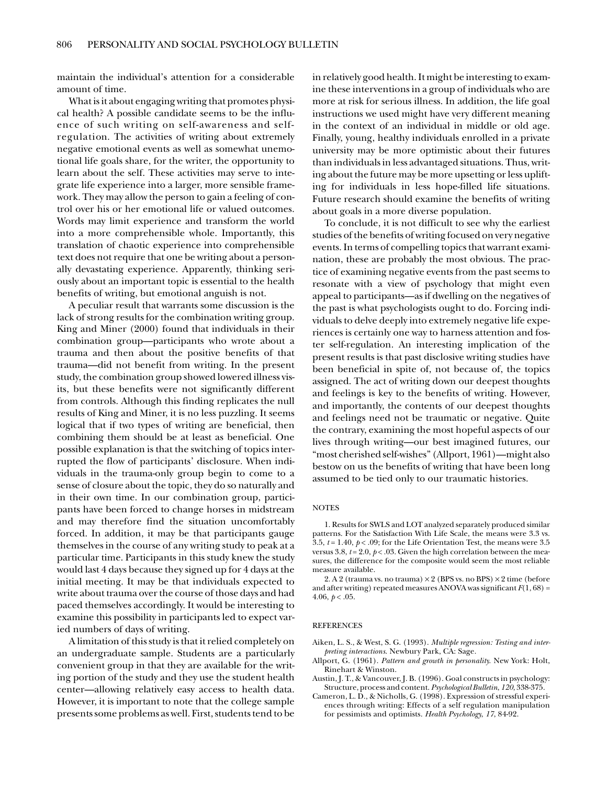maintain the individual's attention for a considerable amount of time.

What is it about engaging writing that promotes physical health? A possible candidate seems to be the influence of such writing on self-awareness and selfregulation. The activities of writing about extremely negative emotional events as well as somewhat unemotional life goals share, for the writer, the opportunity to learn about the self. These activities may serve to integrate life experience into a larger, more sensible framework. They may allow the person to gain a feeling of control over his or her emotional life or valued outcomes. Words may limit experience and transform the world into a more comprehensible whole. Importantly, this translation of chaotic experience into comprehensible text does not require that one be writing about a personally devastating experience. Apparently, thinking seriously about an important topic is essential to the health benefits of writing, but emotional anguish is not.

A peculiar result that warrants some discussion is the lack of strong results for the combination writing group. King and Miner (2000) found that individuals in their combination group—participants who wrote about a trauma and then about the positive benefits of that trauma—did not benefit from writing. In the present study, the combination group showed lowered illness visits, but these benefits were not significantly different from controls. Although this finding replicates the null results of King and Miner, it is no less puzzling. It seems logical that if two types of writing are beneficial, then combining them should be at least as beneficial. One possible explanation is that the switching of topics interrupted the flow of participants' disclosure. When individuals in the trauma-only group begin to come to a sense of closure about the topic, they do so naturally and in their own time. In our combination group, participants have been forced to change horses in midstream and may therefore find the situation uncomfortably forced. In addition, it may be that participants gauge themselves in the course of any writing study to peak at a particular time. Participants in this study knew the study would last 4 days because they signed up for 4 days at the initial meeting. It may be that individuals expected to write about trauma over the course of those days and had paced themselves accordingly. It would be interesting to examine this possibility in participants led to expect varied numbers of days of writing.

A limitation of this study is that it relied completely on an undergraduate sample. Students are a particularly convenient group in that they are available for the writing portion of the study and they use the student health center—allowing relatively easy access to health data. However, it is important to note that the college sample presents some problems as well. First, students tend to be in relatively good health. It might be interesting to examine these interventions in a group of individuals who are more at risk for serious illness. In addition, the life goal instructions we used might have very different meaning in the context of an individual in middle or old age. Finally, young, healthy individuals enrolled in a private university may be more optimistic about their futures than individuals in less advantaged situations. Thus, writing about the future may be more upsetting or less uplifting for individuals in less hope-filled life situations. Future research should examine the benefits of writing about goals in a more diverse population.

To conclude, it is not difficult to see why the earliest studies of the benefits of writing focused on very negative events. In terms of compelling topics that warrant examination, these are probably the most obvious. The practice of examining negative events from the past seems to resonate with a view of psychology that might even appeal to participants—as if dwelling on the negatives of the past is what psychologists ought to do. Forcing individuals to delve deeply into extremely negative life experiences is certainly one way to harness attention and foster self-regulation. An interesting implication of the present results is that past disclosive writing studies have been beneficial in spite of, not because of, the topics assigned. The act of writing down our deepest thoughts and feelings is key to the benefits of writing. However, and importantly, the contents of our deepest thoughts and feelings need not be traumatic or negative. Quite the contrary, examining the most hopeful aspects of our lives through writing—our best imagined futures, our "most cherished self-wishes" (Allport, 1961)—might also bestow on us the benefits of writing that have been long assumed to be tied only to our traumatic histories.

#### NOTES

1. Results for SWLS and LOT analyzed separately produced similar patterns. For the Satisfaction With Life Scale, the means were 3.3 vs. 3.5,  $t = 1.40$ ,  $p < .09$ ; for the Life Orientation Test, the means were 3.5 versus 3.8,  $t = 2.0$ ,  $p < .03$ . Given the high correlation between the measures, the difference for the composite would seem the most reliable measure available.

2. A 2 (trauma vs. no trauma)  $\times$  2 (BPS vs. no BPS)  $\times$  2 time (before and after writing) repeated measures ANOVA was significant *F*(1, 68) = 4.06,  $p < .05$ .

#### **REFERENCES**

- Aiken, L. S., & West, S. G. (1993). *Multiple regression: Testing and interpreting interactions*. Newbury Park, CA: Sage.
- Allport, G. (1961). *Pattern and growth in personality*. New York: Holt, Rinehart & Winston.
- Austin, J. T., & Vancouver, J. B. (1996). Goal constructs in psychology: Structure, process and content. *Psychological Bulletin*, *120*, 338-375.
- Cameron, L. D., & Nicholls, G. (1998). Expression of stressful experiences through writing: Effects of a self regulation manipulation for pessimists and optimists. *Health Psychology*, *17*, 84-92.